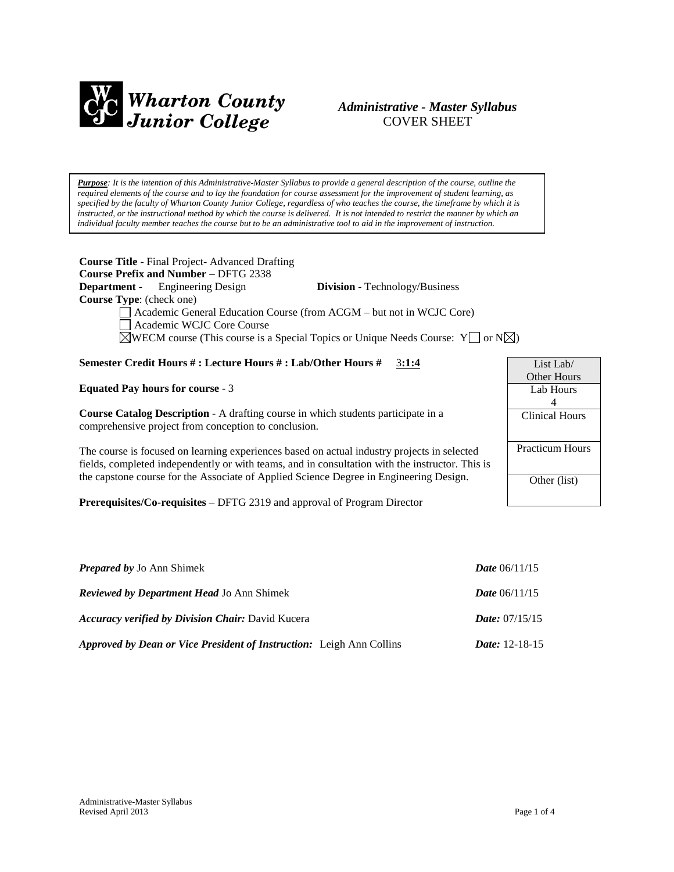

# *Administrative - Master Syllabus*  COVER SHEET

*Purpose: It is the intention of this Administrative-Master Syllabus to provide a general description of the course, outline the required elements of the course and to lay the foundation for course assessment for the improvement of student learning, as specified by the faculty of Wharton County Junior College, regardless of who teaches the course, the timeframe by which it is instructed, or the instructional method by which the course is delivered. It is not intended to restrict the manner by which an individual faculty member teaches the course but to be an administrative tool to aid in the improvement of instruction.*

| <b>Course Title</b> - Final Project-Advanced Drafting<br><b>Course Prefix and Number - DFTG 2338</b>             |                                       |                    |  |
|------------------------------------------------------------------------------------------------------------------|---------------------------------------|--------------------|--|
| <b>Department</b> - Engineering Design                                                                           | <b>Division</b> - Technology/Business |                    |  |
| <b>Course Type:</b> (check one)                                                                                  |                                       |                    |  |
| Academic General Education Course (from ACGM - but not in WCJC Core)                                             |                                       |                    |  |
| Academic WCJC Core Course                                                                                        |                                       |                    |  |
| $\sqrt{\text{WECM}}$ course (This course is a Special Topics or Unique Needs Course: Y $\Box$ or N $\boxtimes$ ) |                                       |                    |  |
|                                                                                                                  |                                       |                    |  |
| Semester Credit Hours #: Lecture Hours #: Lab/Other Hours #                                                      | 3:1:4                                 | List Lab/          |  |
|                                                                                                                  |                                       | <b>Other Hours</b> |  |

**Equated Pay hours for course** - 3

**Course Catalog Description** - A drafting course in which students participate in a comprehensive project from conception to conclusion.

The course is focused on learning experiences based on actual industry projects in selected fields, completed independently or with teams, and in consultation with the instructor. This is the capstone course for the Associate of Applied Science Degree in Engineering Design.

**Prerequisites/Co-requisites** – DFTG 2319 and approval of Program Director

| <b>Prepared by Jo Ann Shimek</b>                                     | <b>Date</b> $06/11/15$  |
|----------------------------------------------------------------------|-------------------------|
| <b>Reviewed by Department Head Jo Ann Shimek</b>                     | <b>Date</b> $06/11/15$  |
| <b>Accuracy verified by Division Chair: David Kucera</b>             | <i>Date:</i> $07/15/15$ |
| Approved by Dean or Vice President of Instruction: Leigh Ann Collins | <i>Date:</i> $12-18-15$ |

| List Lab/              |  |
|------------------------|--|
| Other Hours            |  |
| Lab Hours              |  |
| 4                      |  |
| Clinical Hours         |  |
|                        |  |
| <b>Practicum Hours</b> |  |
|                        |  |
| Other (list)           |  |
|                        |  |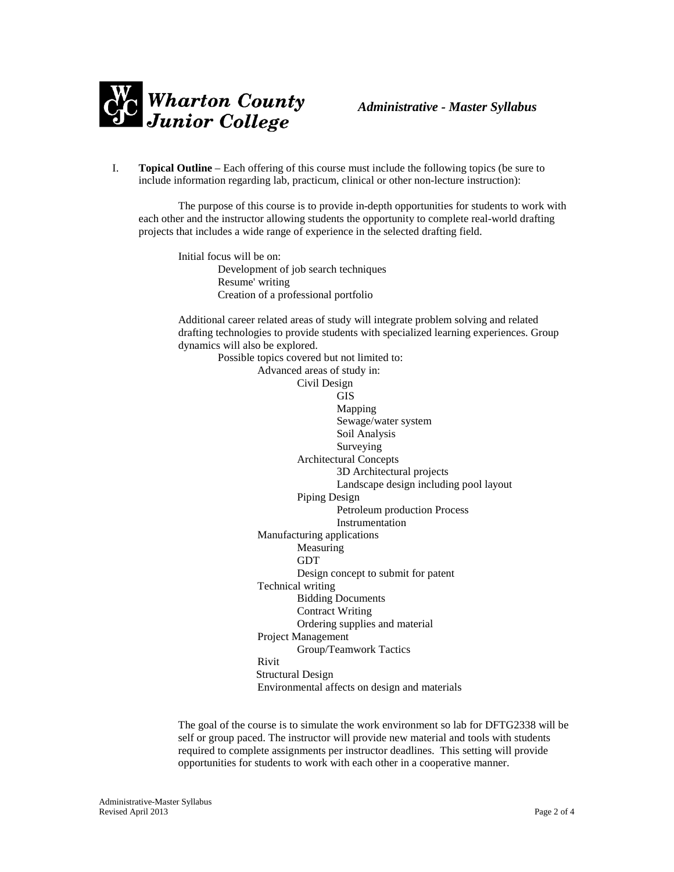

I. **Topical Outline** – Each offering of this course must include the following topics (be sure to include information regarding lab, practicum, clinical or other non-lecture instruction):

The purpose of this course is to provide in-depth opportunities for students to work with each other and the instructor allowing students the opportunity to complete real-world drafting projects that includes a wide range of experience in the selected drafting field.

Initial focus will be on: Development of job search techniques Resume' writing Creation of a professional portfolio

Additional career related areas of study will integrate problem solving and related drafting technologies to provide students with specialized learning experiences. Group dynamics will also be explored.

Possible topics covered but not limited to: Advanced areas of study in: Civil Design GIS Mapping Sewage/water system Soil Analysis Surveying Architectural Concepts 3D Architectural projects Landscape design including pool layout Piping Design Petroleum production Process Instrumentation Manufacturing applications Measuring GDT Design concept to submit for patent Technical writing Bidding Documents Contract Writing Ordering supplies and material Project Management Group/Teamwork Tactics Rivit Structural Design Environmental affects on design and materials

The goal of the course is to simulate the work environment so lab for DFTG2338 will be self or group paced. The instructor will provide new material and tools with students required to complete assignments per instructor deadlines. This setting will provide opportunities for students to work with each other in a cooperative manner.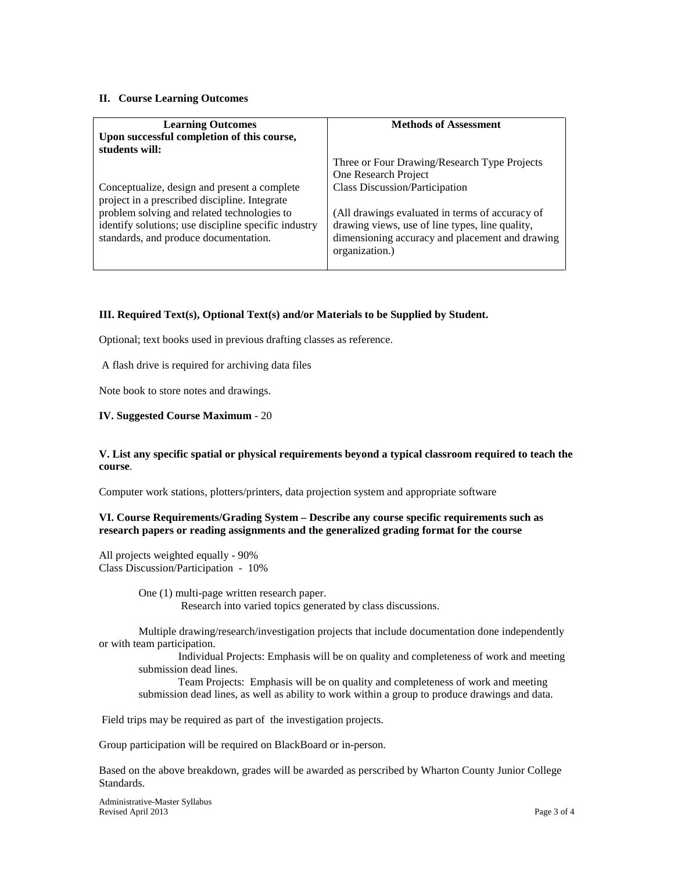#### **II. Course Learning Outcomes**

| <b>Learning Outcomes</b>                                                                      | <b>Methods of Assessment</b>                                      |  |
|-----------------------------------------------------------------------------------------------|-------------------------------------------------------------------|--|
| Upon successful completion of this course,                                                    |                                                                   |  |
| students will:                                                                                |                                                                   |  |
|                                                                                               | Three or Four Drawing/Research Type Projects                      |  |
|                                                                                               | One Research Project                                              |  |
| Conceptualize, design and present a complete<br>project in a prescribed discipline. Integrate | <b>Class Discussion/Participation</b>                             |  |
| problem solving and related technologies to                                                   | (All drawings evaluated in terms of accuracy of                   |  |
| identify solutions; use discipline specific industry                                          | drawing views, use of line types, line quality,                   |  |
| standards, and produce documentation.                                                         | dimensioning accuracy and placement and drawing<br>organization.) |  |
|                                                                                               |                                                                   |  |

## **III. Required Text(s), Optional Text(s) and/or Materials to be Supplied by Student.**

Optional; text books used in previous drafting classes as reference.

A flash drive is required for archiving data files

Note book to store notes and drawings.

### **IV. Suggested Course Maximum** - 20

### **V. List any specific spatial or physical requirements beyond a typical classroom required to teach the course**.

Computer work stations, plotters/printers, data projection system and appropriate software

### **VI. Course Requirements/Grading System – Describe any course specific requirements such as research papers or reading assignments and the generalized grading format for the course**

All projects weighted equally - 90% Class Discussion/Participation - 10%

> One (1) multi-page written research paper. Research into varied topics generated by class discussions.

Multiple drawing/research/investigation projects that include documentation done independently or with team participation.

Individual Projects: Emphasis will be on quality and completeness of work and meeting submission dead lines.

Team Projects: Emphasis will be on quality and completeness of work and meeting submission dead lines, as well as ability to work within a group to produce drawings and data.

Field trips may be required as part of the investigation projects.

Group participation will be required on BlackBoard or in-person.

Based on the above breakdown, grades will be awarded as perscribed by Wharton County Junior College Standards.